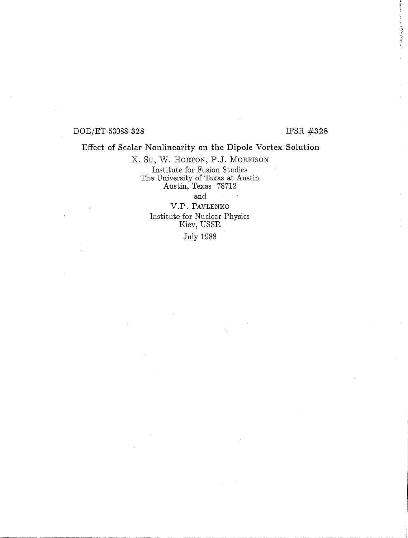#### $DOE/ET-53088-328$  IFSR  $\#328$

作業の定なる

#### Effect of Scalar Nonlinearity on the Dipole Vortex Solution

x. Su, W. HORTON, P.J. MORRISON Institute for Fusion Studies The University of Texas at Austin Austin, Texas 78712 and

> v.P. PAVLENKO Institute for Nuclear Physics Kiev, USSR

July 1988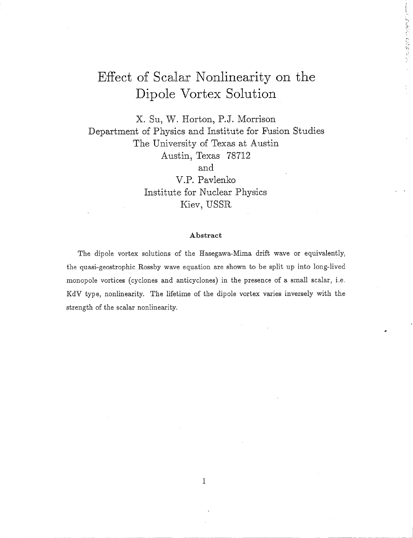# **Effect of Scalar Nonlinearity on the Dipole Vortex Solution**

**l",**   $\, \tilde{\,} \,$ 

x. Su, W. Horton, **P.J.** Morrison Department of Physics and Institute for Fusion Studies The University of Texas at Austin A ustin, Texas 78712 and V.P. Pavlenko Institute for Nuclear Physics

Kiev, USSR

#### Abstract

The dipole vortex solutions of the Hasegawa-Mima drift wave or equivalently, the quasi-geostrophic Rossby wave equation are shown to be split up into long-lived monopole vortices (cyclones and anticyclones) in the presence of a small scalar, i.e. KdV type, nonlinearity. The lifetime of the dipole vortex varies inversely with the strength of the scalar nonlinearity.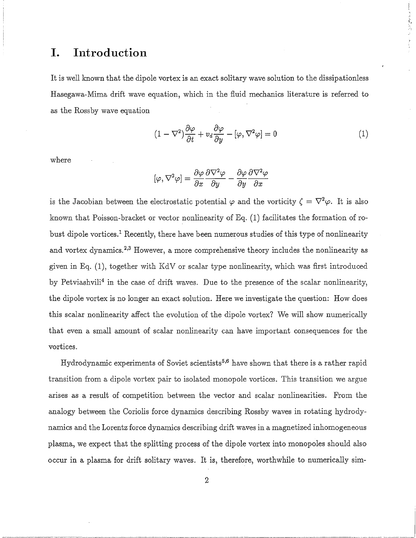#### **I. Introd uction**

It is well known that the dipole vortex is an exact solitary wave solution to the dissipationless Hasegawa-Mirna drift wave equation, which in the fluid mechanics literature is referred to as the Rossby wave equation

$$
(1 - \nabla^2) \frac{\partial \varphi}{\partial t} + v_d \frac{\partial \varphi}{\partial y} - [\varphi, \nabla^2 \varphi] = 0
$$
 (1)

また きょうかいの ドックティ

where

$$
[\varphi,\nabla^2\varphi]=\frac{\partial\varphi}{\partial x}\frac{\partial\nabla^2\varphi}{\partial y}-\frac{\partial\varphi}{\partial y}\frac{\partial\nabla^2\varphi}{\partial x}
$$

is the Jacobian between the electrostatic potential  $\varphi$  and the vorticity  $\zeta = \nabla^2 \varphi$ . It is also known that Poisson-bracket or vector nonlinearity of Eq. (1) facilitates the formation of robust dipole vortices.<sup>1</sup> Recently, there have been numerous studies of this type of nonlinearity and vortex dynamics.<sup>2,3</sup> However, a more comprehensive theory includes the nonlinearity as given in Eq. (1), together with KdV or scalar type nonlinearity, which was first introduced by Petviashvili<sup>4</sup> in the case of drift waves. Due to the presence of the scalar nonlinearity, the dipole vortex is no longer an exact solution. Here we investigate the question: How does this scalar nonlinearity affect the evolution of the dipole vortex? We will show numerically that even a small amount of scalar nonlinearity can have important consequences for the vortices.

Hydrodynamic experiments of Soviet scientists<sup>5,6</sup> have shown that there is a rather rapid transition from a dipole vortex pair to isolated monopole vortices. This transition we argue arises as a result of competition between the vector and scalar nonlinearities. From the analogy between the Coriolis force dynamics describing Rossby waves in rotating hydrodynamics and the Lorentz force dynamics describing drift waves in a magnetized inhomogeneous plasma, we expect that the splitting process of the dipole vortex into monopoles should also occur in a plasma for drift solitary waves. It is, therefore, worthwhile to numerically sim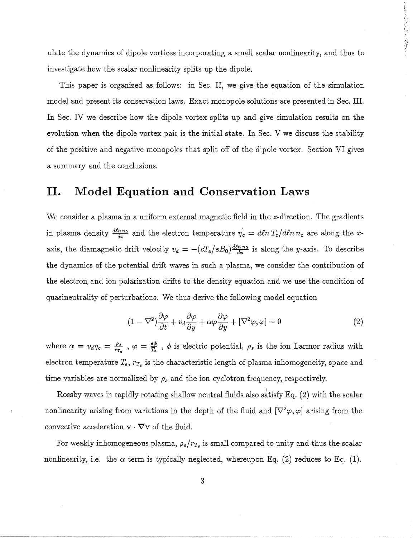ulate the dynamics of dipole vortices incorporating a small scalar nonlinearity, and thus to investigate how the scalar nonlinearity splits up the dipole.

!.',

~I

This paper is organized as follows: in Sec. II, we give the equation of the simulation model and present its conservation laws. Exact monopole solutions are presented in Sec. III. In Sec. IV we describe how the dipole vortex splits up and give simulation results on the evolution when the dipole vortex pair is the initial state. In Sec. V we discuss the stability of the positive and negative monopoles that split off of the dipole vortex. Section VI gives a summary and the conclusions.

#### **II. Model Equation and Conservation Laws**

We consider a plasma in a uniform external magnetic field in the z-direction. The gradients in plasma density  $\frac{dln n_0}{dx}$  and the electron temperature  $\eta_e = dln T_e/dln n_e$  are along the xaxis, the diamagnetic drift velocity  $v_d = -(cT_e/eB_0) \frac{d\ln n_0}{dx}$  is along the y-axis. To describe the dynamics of the potential drift waves in such a plasma, we consider the contribution of the electron, and ion polarization drifts to the density equation and we use the condition of quasineutrality of perturbations. We thus derive the following model equation

$$
(1 - \nabla^2) \frac{\partial \varphi}{\partial t} + v_d \frac{\partial \varphi}{\partial y} + \alpha \varphi \frac{\partial \varphi}{\partial y} + [\nabla^2 \varphi, \varphi] = 0
$$
\n(2)

where  $\alpha = v_d \eta_e = \frac{\rho_s}{r_{Te}}$ ,  $\varphi = \frac{e\phi}{T_e}$ ,  $\phi$  is electric potential,  $\rho_s$  is the ion Larmor radius with electron temperature T*e, rTe* is the characteristic length of plasma inhomogeneity, space and time variables are normalized by  $\rho_s$  and the ion cyclotron frequency, respectively.

Rossby waves in rapidly rotating shallow neutral fluids also satisfy Eq. (2) with the scalar nonlinearity arising from variations in the depth of the fluid and  $[\nabla^2 \varphi, \varphi]$  arising from the convective acceleration  $\mathbf{v} \cdot \nabla \mathbf{v}$  of the fluid.

For weakly inhomogeneous plasma,  $\rho_s/r_{T_e}$  is small compared to unity and thus the scalar nonlinearity, i.e. the  $\alpha$  term is typically neglected, whereupon Eq. (2) reduces to Eq. (1).

------~~~-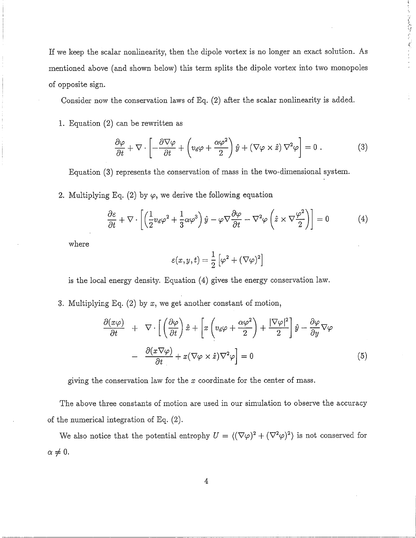If we keep the scalar nonlinearity, then the dipole vortex is no longer an exact solution. As mentioned above (and shown below) this term splits the dipole vortex into two monopoles of opposite sign.

Consider now the conservation laws of Eq. (2) after the scalar nonlinearity is added.

1. Equation (2) can be rewritten as

$$
\frac{\partial \varphi}{\partial t} + \nabla \cdot \left[ -\frac{\partial \nabla \varphi}{\partial t} + \left( v_d \varphi + \frac{\alpha \varphi^2}{2} \right) \hat{y} + (\nabla \varphi \times \hat{z}) \nabla^2 \varphi \right] = 0 \tag{3}
$$

あたち なにかけ たちず ディイン・

Equation (3) represents the conservation of mass in the two-dimensional system.

2. Multiplying Eq. (2) by  $\varphi$ , we derive the following equation

$$
\frac{\partial \varepsilon}{\partial t} + \nabla \cdot \left[ \left( \frac{1}{2} v_d \varphi^2 + \frac{1}{3} \alpha \varphi^3 \right) \hat{y} - \varphi \nabla \frac{\partial \varphi}{\partial t} - \nabla^2 \varphi \left( \hat{z} \times \nabla \frac{\varphi^2}{2} \right) \right] = 0 \tag{4}
$$

where

$$
\varepsilon(x,y,t) = \frac{1}{2} \left[ \varphi^2 + (\nabla \varphi)^2 \right]
$$

is the local energy density. Equation (4) gives the energy conservation law.

3. Multiplying Eq. (2) by *x,* we get another constant of motion,

$$
\frac{\partial(x\varphi)}{\partial t} + \nabla \cdot \left[ \left( \frac{\partial \varphi}{\partial t} \right) \hat{x} + \left[ x \left( v_d \varphi + \frac{\alpha \varphi^2}{2} \right) + \frac{|\nabla \varphi|^2}{2} \right] \hat{y} - \frac{\partial \varphi}{\partial y} \nabla \varphi \right] - \frac{\partial(x \nabla \varphi)}{\partial t} + x (\nabla \varphi \times \hat{z}) \nabla^2 \varphi = 0
$$
\n(5)

giving the conservation law for the *x* coordinate for the center of mass.

The above three constants of motion are used in our simulation to observe the accuracy of the numerical integration of Eq. (2).

We also notice that the potential entrophy  $U = \langle (\nabla \varphi)^2 + (\nabla^2 \varphi)^2 \rangle$  is not conserved for  $\alpha \neq 0.$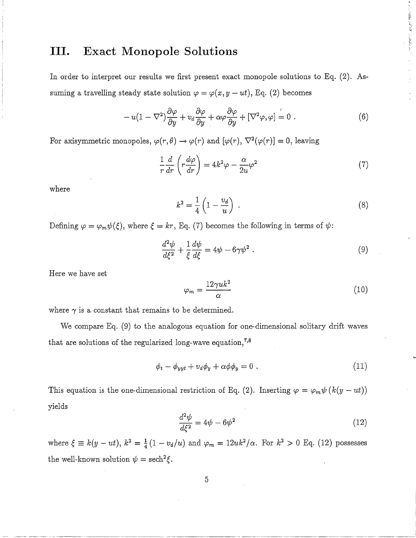## **III. Exact Monopole Solutions**

In order to interpret our results we first present exact monopole solutions to Eq. (2). Assuming a travelling steady state solution  $\varphi = \varphi(x, y - ut)$ , Eq. (2) becomes

$$
-u(1-\nabla^2)\frac{\partial\varphi}{\partial y} + v_d\frac{\partial\varphi}{\partial y} + \alpha\varphi\frac{\partial\varphi}{\partial y} + [\nabla^2\varphi,\varphi] = 0.
$$
 (6)

For axisymmetric monopoles,  $\varphi(r,\theta) \to \varphi(r)$  and  $[\varphi(r), \nabla^2(\varphi(r)] = 0$ , leaving

$$
\frac{1}{r}\frac{d}{dr}\left(r\frac{d\varphi}{dr}\right) = 4k^2\varphi - \frac{\alpha}{2u}\varphi^2\tag{7}
$$

where

$$
k^2 = \frac{1}{4} \left( 1 - \frac{v_d}{u} \right) \tag{8}
$$

Consideration of the context of the

Defining  $\varphi = \varphi_m \psi(\xi)$ , where  $\xi = kr$ , Eq. (7) becomes the following in terms of  $\psi$ :

$$
\frac{d^2\psi}{d\xi^2} + \frac{1}{\xi}\frac{d\psi}{d\xi} = 4\psi - 6\gamma\psi^2.
$$
\n(9)

Here we have set

$$
\varphi_m = \frac{12\gamma uk^2}{\alpha} \tag{10}
$$

where  $\gamma$  is a constant that remains to be determined.

We compare Eq. (9) to the analogous equation for one-dimensional solitary drift waves that are solutions of the regularized long-wave equation,<sup>7,8</sup>

$$
\phi_t - \phi_{yyt} + v_d \phi_y + \alpha \phi \phi_y = 0 \tag{11}
$$

This equation is the one-dimensional restriction of Eq. (2). Inserting  $\varphi = \varphi_m \psi (k(y - ut))$ yields

$$
\frac{d^2\psi}{d\xi^2} = 4\psi - 6\psi^2\tag{12}
$$

where  $\xi \equiv k(y - ut)$ ,  $k^2 = \frac{1}{4}(1 - v_d/u)$  and  $\varphi_m = 12uk^2/\alpha$ . For  $k^2 > 0$  Eq. (12) possesses the well-known solution  $\psi = \mathrm{sech}^2 \xi$ .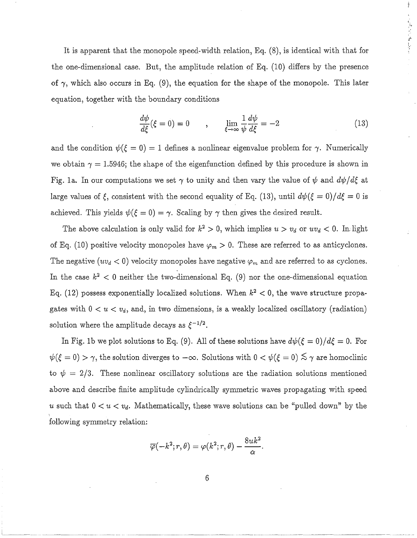It is apparent that the monopole speed-width relation, Eq. (8), is identical with that for the one-dimensional case. But, the amplitude relation of Eq. (10) differs by the presence of  $\gamma$ , which also occurs in Eq. (9), the equation for the shape of the monopole. This later equation, together with the boundary conditions

$$
\frac{d\psi}{d\xi}(\xi=0) = 0 \qquad , \qquad \lim_{\xi \to \infty} \frac{1}{\psi} \frac{d\psi}{d\xi} = -2 \tag{13}
$$

 $\frac{1}{2}$ 

くんきょく めしてく

and the condition  $\psi(\xi = 0) = 1$  defines a nonlinear eigenvalue problem for  $\gamma$ . Numerically we obtain  $\gamma = 1.5946$ ; the shape of the eigenfunction defined by this procedure is shown in Fig. 1a. In our computations we set  $\gamma$  to unity and then vary the value of  $\psi$  and  $d\psi/d\xi$  at large values of  $\xi$ , consistent with the second equality of Eq. (13), until  $d\psi(\xi = 0)/d\xi = 0$  is achieved. This yields  $\psi(\xi = 0) = \gamma$ . Scaling by  $\gamma$  then gives the desired result.

The above calculation is only valid for  $k^2 > 0$ , which implies  $u > v_d$  or  $uv_d < 0$ . In light of Eq. (10) positive velocity monopoles have  $\varphi_m > 0$ . These are referred to as anticyclones. The negative  $(uv_d < 0)$  velocity monopoles have negative  $\varphi_m$  and are referred to as cyclones. In the case  $k^2 < 0$  neither the two-dimensional Eq. (9) nor the one-dimensional equation Eq. (12) possess exponentially localized solutions. When  $k^2 < 0$ , the wave structure propagates with  $0 < u < v_d$ , and, in two dimensions, is a weakly localized oscillatory (radiation) solution where the amplitude decays as  $\xi^{-1/2}$ .

In Fig. 1b we plot solutions to Eq. (9). All of these solutions have  $d\psi(\xi = 0)/d\xi = 0$ . For  $\psi(\xi = 0) > \gamma$ , the solution diverges to  $-\infty$ . Solutions with  $0 < \psi(\xi = 0) \lesssim \gamma$  are homoclinic to  $\psi = 2/3$ . These nonlinear oscillatory solutions are the radiation solutions mentioned above and describe finite amplitude cylindrically symmetric waves propagating with speed u such that  $0 < u < v_d$ . Mathematically, these wave solutions can be "pulled down" by the following symmetry relation:

$$
\overline{\varphi}(-k^2;r,\theta)=\varphi(k^2;r,\theta)-\frac{8u k^2}{\alpha}.
$$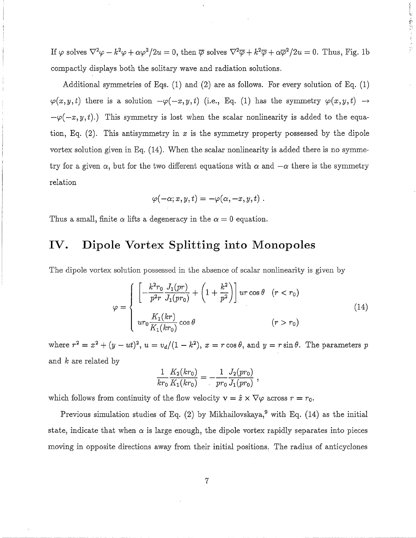If  $\varphi$  solves  $\nabla^2 \varphi - k^2 \varphi + \alpha \varphi^2/2u = 0$ , then  $\overline{\varphi}$  solves  $\nabla^2 \overline{\varphi} + k^2 \overline{\varphi} + \alpha \overline{\varphi}^2/2u = 0$ . Thus, Fig. 1b compactly displays both the solitary wave and radiation solutions.

 $\frac{6}{\cdot}$ 

Additional symmetries of Eqs. (1) and (2) are as follows. For every solution of Eq. (1)  $\varphi(x,y,t)$  there is a solution  $-\varphi(-x,y,t)$  (i.e., Eq. (1) has the symmetry  $\varphi(x,y,t) \rightarrow$  $-\varphi(-x, y, t)$ .) This symmetry is lost when the scalar nonlinearity is added to the equation, Eq. (2). This antisymmetry in *x* is the symmetry property possessed by the dipole vortex solution given in Eq. (14). When the scalar nonlinearity is added there is no symmetry for a given  $\alpha$ , but for the two different equations with  $\alpha$  and  $-\alpha$  there is the symmetry relation

$$
\varphi(-\alpha;x,y,t)=-\varphi(\alpha,-x,y,t)\;.
$$

Thus a small, finite  $\alpha$  lifts a degeneracy in the  $\alpha = 0$  equation.

#### **IV. Dipole Vortex Splitting into Monopoles**

The dipole vortex solution possessed in the absence of scalar nonlinearity is given by

$$
\varphi = \begin{cases}\n\left[ -\frac{k^2 r_0}{p^2 r} \frac{J_1(pr)}{J_1(pr_0)} + \left( 1 + \frac{k^2}{p^2} \right) \right] u r \cos \theta & (r < r_0) \\
ur_0 \frac{K_1(kr)}{K_1(kr_0)} \cos \theta & (r > r_0)\n\end{cases}
$$
\n(14)

where  $r^2 = x^2 + (y - ut)^2$ ,  $u = v_d/(1 - k^2)$ ,  $x = r \cos \theta$ , and  $y = r \sin \theta$ . The parameters p and *k* are related by

$$
\frac{1}{kr_0}\frac{K_2(kr_0)}{K_1(kr_0)}=-\frac{1}{pr_0}\frac{J_2(pr_0)}{J_1(pr_0)},
$$

which follows from continuity of the flow velocity  $\mathbf{v} = \hat{z} \times \nabla \varphi$  across  $r = r_0$ .

Previous simulation studies of Eq.  $(2)$  by Mikhailovskaya,<sup>9</sup> with Eq.  $(14)$  as the initial state, indicate that when  $\alpha$  is large enough, the dipole vortex rapidly separates into pieces moving in opposite directions away from their initial positions. The radius of anticyclones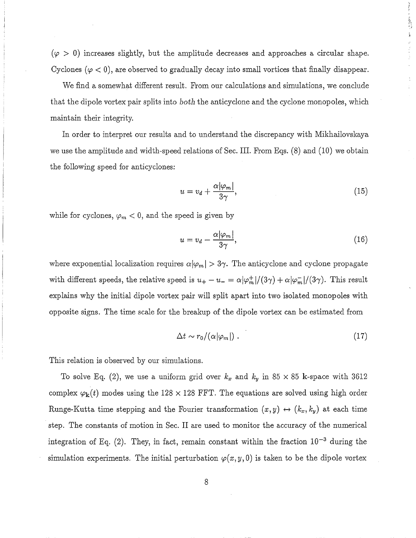$(\varphi > 0)$  increases slightly, but the amplitude decreases and approaches a circular shape. Cyclones ( $\varphi$  < 0), are observed to gradually decay into small vortices that finally disappear.

We find a somewhat different result. From our calculations and simulations, we conclude that the dipole vortex pair splits into *botl1* the anticyclone and the cyclone monopoles, which maintain their integrity.

In order to interpret our results and to understand the discrepancy with Mikhailovskaya we use the amplitude and width-speed relations of Sec. **III.** From Eqs. (8) and (10) we obtain the following speed for anticyclones:

$$
u = v_d + \frac{\alpha |\varphi_m|}{3\gamma},\tag{15}
$$

while for cyclones,  $\varphi_m < 0$ , and the speed is given by

$$
u = v_d - \frac{\alpha |\varphi_m|}{3\gamma},\tag{16}
$$

where exponential localization requires  $\alpha |\varphi_m| > 3\gamma$ . The anticyclone and cyclone propagate with different speeds, the relative speed is  $u_+ - u_- = \alpha |\varphi_m^+|/(3\gamma) + \alpha |\varphi_m^-|/(3\gamma)$ . This result explains why the initial dipole vortex pair will split apart into two isolated monopoles with opposite signs. The time scale for the breakup of the dipole vortex can be estimated from

$$
\Delta t \sim r_0/(\alpha |\varphi_m|) \ . \tag{17}
$$

This relation is observed by our simulations.

To solve Eq. (2), we use a uniform grid over  $k_x$  and  $k_y$  in 85 x 85 k-space with 3612 complex  $\varphi_{k}(t)$  modes using the 128 x 128 FFT. The equations are solved using high order Runge-Kutta time stepping and the Fourier transformation  $(x, y) \leftrightarrow (k_x, k_y)$  at each time step. The constants of motion in Sec. II are used to monitor the accuracy of the numerical integration of Eq. (2). They, in fact, remain constant within the fraction  $10^{-3}$  during the simulation experiments. The initial perturbation  $\varphi(x, y, 0)$  is taken to be the dipole vortex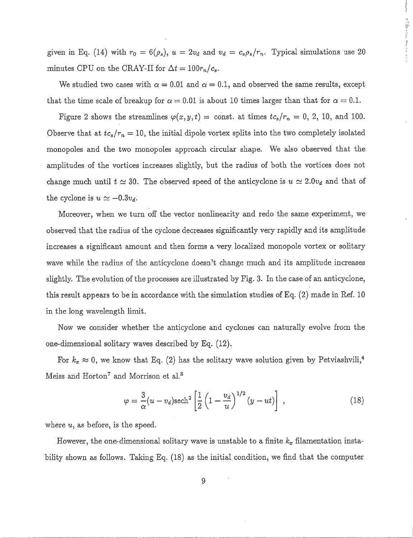given in Eq. (14) with  $r_0 = 6(\rho_s)$ ,  $u = 2v_d$  and  $v_d = c_s \rho_s / r_n$ . Typical simulations use 20 minutes CPU on the CRAY-II for  $\Delta t = 100r_n/c_s$ .

 $\frac{1}{2}$ 

こんめんか ましん

We studied two cases with  $\alpha = 0.01$  and  $\alpha = 0.1$ , and observed the same results, except that the time scale of breakup for  $\alpha = 0.01$  is about 10 times larger than that for  $\alpha = 0.1$ .

Figure 2 shows the streamlines  $\varphi(x, y, t) = \text{const.}$  at times  $tc_s/r_n = 0, 2, 10, \text{ and } 100.$ Observe that at  $tc_s/r_n = 10$ , the initial dipole vortex splits into the two completely isolated monopoles and the two monopoles approach circular shape. We also observed that the amplitudes of the vortices increases slightly, but the radius of both the vortices does not change much until  $t \approx 30$ . The observed speed of the anticyclone is  $u \approx 2.0v_d$  and that of the cyclone is  $u \simeq -0.3v_d$ .

Moreover, when we turn off the vector nonlinearity and redo the same experiment, we observed that the radius of the cyclone decreases significantly very rapidly and its amplitude increases a significant amount and then forms a very localized monopole vortex or solitary wave while the radius of the anticyclone doesn't change much and its amplitude increases slightly. The evolution of the processes are illustrated by Fig. 3. In the case of an anticyclone, this result appears to be in accordance with the simulation studies of Eq. (2) made in Ref. 10 in the long wavelength limit.

Now we consider whether the anticyclone and cyclones can naturally evolve from the one-dimensional solitary waves described by Eq. (12).

For  $k_x \approx 0$ , we know that Eq. (2) has the solitary wave solution given by Petviashvili,<sup>4</sup> Meiss and Horton<sup>7</sup> and Morrison et al.<sup>8</sup>

$$
\varphi = \frac{3}{\alpha}(u - v_d)\mathrm{sech}^2\left[\frac{1}{2}\left(1 - \frac{v_d}{u}\right)^{1/2}(y - ut)\right],\tag{18}
$$

where *u,* as before, is the speed.

However, the one-dimensional solitary wave is unstable to a finite  $k_x$  filamentation instability shown as follows. Taking Eq. (18) as the initial condition, we find that the computer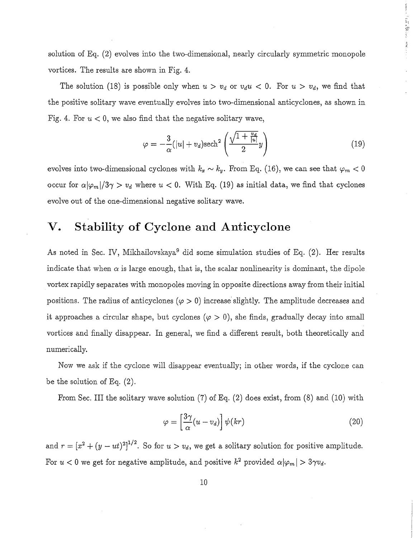solution of Eq. (2) evolves into the two-dimensional, nearly circularly symmetric monopole vortices. The results are shown in Fig. 4.

The solution (18) is possible only when  $u > v_d$  or  $v_d u < 0$ . For  $u > v_d$ , we find that the positive solitary wave eventually evolves into two-dimensional anticyclones, as shown in Fig. 4. For  $u < 0$ , we also find that the negative solitary wave,

$$
\varphi = -\frac{3}{\alpha}(|u| + v_d) \mathrm{sech}^2\left(\frac{\sqrt{1 + \frac{v_d}{|u|}}}{2}y\right) \tag{19}
$$

■ 1.557 (104) 288 (104) 388 (104)

evolves into two-dimensional cyclones with  $k_x \sim k_y$ . From Eq. (16), we can see that  $\varphi_m < 0$ occur for  $\alpha |\varphi_m|/3\gamma > v_d$  where  $u < 0$ . With Eq. (19) as initial data, we find that cyclones evolve out of the one-dimensional negative solitary wave.

## **v. Stability of Cyclone and Anticyclone**

As noted in Sec. IV, Mikhailovskaya<sup>9</sup> did some simulation studies of Eq. (2). Her results indicate that when  $\alpha$  is large enough, that is, the scalar nonlinearity is dominant, the dipole vortex rapidly separates with monopoles moving in opposite directions away from their initial positions. The radius of anticyclones  $(\varphi > 0)$  increase slightly. The amplitude decreases and it approaches a circular shape, but cyclones  $(\varphi > 0)$ , she finds, gradually decay into small vortices and finally disappear. In general, we find a different result, both theoretically and numerically.

Now we ask if the cyclone will disappear eventually; in other words, if the cyclone can be the solution of Eq. (2).

From Sec. III the solitary wave solution (7) of Eq. (2) does exist, from (8) and (10) with

$$
\varphi = \left[\frac{3\gamma}{\alpha}(u - v_d)\right] \psi(kr) \tag{20}
$$

and  $r = [x^2 + (y - ut)^2]^{1/2}$ . So for  $u > v_d$ , we get a solitary solution for positive amplitude. For  $u < 0$  we get for negative amplitude, and positive  $k^2$  provided  $\alpha |\varphi_m| > 3\gamma v_d$ .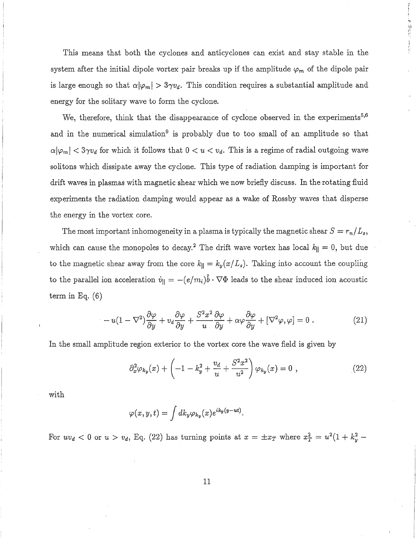This means that both the cyclones and anticyclones can exist and stay stable in the system after the initial dipole vortex pair breaks up if the amplitude  $\varphi_m$  of the dipole pair is large enough so that  $\alpha|\varphi_m| > 3\gamma v_d$ . This condition requires a substantial amplitude and energy for the solitary wave to form the cyclone.

重型的 医凝固的 生态

We, therefore, think that the disappearance of cyclone observed in the experiments<sup>5,6</sup> and in the numerical simulation<sup>9</sup> is probably due to too small of an amplitude so that  $\alpha |\varphi_m| < 3\gamma v_d$  for which it follows that  $0 < u < v_d$ . This is a regime of radial outgoing wave solitons which dissipate away the cyclone. This type of radiation damping is important for drift waves in plasmas with magnetic shear which we now briefly discuss. In the rotating fluid experiments the radiation damping would appear as a wake of Rossby waves that disperse the energy in the vortex core.

The most important inhomogeneity in a plasma is typically the magnetic shear  $S = r_n/L_s$ , which can cause the monopoles to decay.<sup>2</sup> The drift wave vortex has local  $k_{\parallel} = 0$ , but due to the magnetic shear away from the core  $k_{\parallel} = k_y(x/L_s)$ . Taking into account the coupling to the parallel ion acceleration  $\dot{v}_{\parallel} = -(e/m_i)\hat{b} \cdot \nabla \Phi$  leads to the shear induced ion acoustic term in Eq. (6)

$$
-u(1-\nabla^2)\frac{\partial\varphi}{\partial y} + v_d\frac{\partial\varphi}{\partial y} + \frac{S^2x^2}{u}\frac{\partial\varphi}{\partial y} + \alpha\varphi\frac{\partial\varphi}{\partial y} + [\nabla^2\varphi,\varphi] = 0.
$$
\n(21)

In the small amplitude region exterior to the vortex core the wave field is given by

$$
\partial_x^2 \varphi_{k_y}(x) + \left( -1 - k_y^2 + \frac{v_d}{u} + \frac{S^2 x^2}{u^2} \right) \varphi_{k_y}(x) = 0 , \qquad (22)
$$

with

$$
\varphi(x,y,t) = \int dk_y \varphi_{k_y}(x) e^{ik_y(y-ut)}.
$$

For  $uv_d < 0$  or  $u > v_d$ , Eq. (22) has turning points at  $x = \pm x_T$  where  $x_T^2 = u^2(1 + k_y^2 - ...$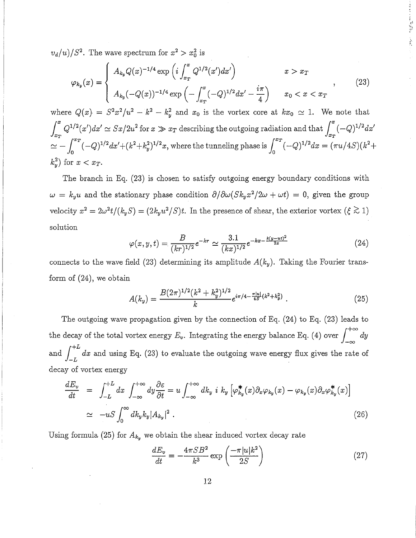$v_d/u)/S^2$ . The wave spectrum for  $x^2 > x_0^2$  is

$$
\varphi_{k_y}(x) = \begin{cases} A_{k_y} Q(x)^{-1/4} \exp\left(i \int_{x_T}^x Q^{1/2}(x') dx'\right) & x > x_T \\ A_{k_y} (-Q(x))^{-1/4} \exp\left(-\int_{x_T}^x (-Q)^{1/2} dx' - \frac{i\pi}{4}\right) & x_0 < x < x_T \end{cases}
$$
 (23)

1. 11. 感染性 (人名)

where  $Q(x) = S^2x^2/u^2 - k^2 - k_y^2$  and  $x_0$  is the vortex core at  $kx_0 \approx 1$ . We note that  $\int_{\pi}^{x} Q^{1/2}(x') dx' \simeq Sx/2u^2$  for  $x \gg x_T$  describing the outgoing radiation and that  $\int_{\pi}^{x}$  $(-Q)^{1/2}dx'$  $\tilde{\mathcal{L}}^2 = \int_0^{x_T} (-Q)^{1/2} dx' + (k^2 + k_y^2)^{1/2} x$ , where the tunneling phase is  $\int_0^{x_T} (-Q)^{1/2} dx = (\pi u/4S)(k^2)$ *o*   $(-Q)^{1/2}dx' + (k^2 + k_y^2)^{1/2}x$ , where the tunneling phase is  $\int_0^{x_T} (-Q)^{1/2}dx = (\pi u/4S)(k^2 +$  $k_y^2$  for  $x < x_T$ .

The branch in Eq. (23) is chosen to satisfy outgoing energy boundary conditions with  $\omega = k_y u$  and the stationary phase condition  $\partial/\partial \omega(Sk_yx^2/2\omega + \omega t) = 0$ , given the group velocity  $x^2 = 2\omega^2 t/(k_y S) = (2k_y u^2/S)t$ . In the presence of shear, the exterior vortex  $(\xi \gtrsim 1)$ solution

$$
\varphi(x,y,t) = \frac{B}{(kr)^{1/2}} e^{-kr} \simeq \frac{3.1}{(kx)^{1/2}} e^{-kx - \frac{k(y - ut)^2}{2x}} \tag{24}
$$

connects to the wave field (23) determining its amplitude  $A(k_y)$ . Taking the Fourier transform of (24), we obtain

$$
A(k_y) = \frac{B(2\pi)^{1/2}(k^2 + k_y^2)^{1/2}}{k} e^{i\pi/4 - \frac{\pi |u|}{4S}(k^2 + k_y^2)}.
$$
 (25)

The outgoing wave propagation given by the connection of Eq. (24) to Eq. (23) leads to the decay of the total vortex energy  $E_v$ . Integrating the energy balance Eq. (4) over  $\int_{-\infty}^{+\infty} dy$  $\int_{-L}^{+L}$ and  $\int a^2 dx$  and using Eq. (23) to evaluate the outgoing wave energy flux gives the rate of  $-L$  and then  $\frac{1}{2}$   $\left( -\frac{1}{2} \right)$  is startants the satisfying that strings decay of vortex energy

$$
\frac{dE_v}{dt} = \int_{-L}^{+L} dx \int_{-\infty}^{+\infty} dy \frac{\partial \varepsilon}{\partial t} = u \int_{-\infty}^{+\infty} dk_y \, i \, k_y \left[ \varphi_{k_y}^*(x) \partial_x \varphi_{k_y}(x) - \varphi_{k_y}(x) \partial_x \varphi_{k_y}^*(x) \right]
$$
\n
$$
\simeq -uS \int_0^{\infty} dk_y k_y |A_{k_y}|^2 . \tag{26}
$$

Using formula (25) for  $A_{k_y}$  we obtain the shear induced vortex decay rate

$$
\frac{dE_v}{dt} = -\frac{4\pi SB^2}{k^3} \exp\left(\frac{-\pi |u|k^2}{2S}\right) \tag{27}
$$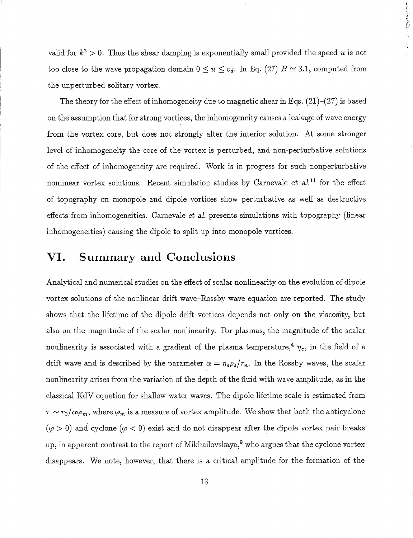valid for  $k^2 > 0$ . Thus the shear damping is exponentially small provided the speed *u* is not too close to the wave propagation domain  $0 \le u \le v_d$ . In Eq. (27)  $B \simeq 3.1$ , computed from the unperturbed solitary vortex.

 $\mathbf{r}$  ,  $\mathbf{r}$  ,  $\mathbf{r}$  ,  $\mathbf{r}$  ,  $\mathbf{r}$ 

The theory for the effect of inhomogeneity due to magnetic shear in Eqs.  $(21)$ – $(27)$  is based on the assumption that for strong vortices, the inhomogeneity causes a leakage of wave energy from the vortex core, but does not strongly alter the interior solution. At some stronger level of inhomogeneity the core of the vortex is perturbed, and non-perturbative solutions of the effect of inhomogeneity are required. Work is in progress for such nonperturbative nonlinear vortex solutions. Recent simulation studies by Carnevale *et al.*<sup>11</sup> for the effect of topography on monopole and dipole vortices show perturbative as well as destructive effects from inhomogeneities. Carnevale *et al.* presents simulations with topography (linear inhomogeneities) causing the dipole to split up into monopole vortices.

#### **VI. Summary and Conclusions**

Analytical and numerical studies on the effect of scalar nonlinearity on the evolution of dipole vortex . solutions of the nonlinear drift wave-Rossby wave equation are reported. The study shows that the lifetime of the dipole drift vortices depends not only on the viscosity, but also on the magnitude of the scalar nonlinearity. For plasmas, the magnitude of the scalar nonlinearity is associated with a gradient of the plasma temperature,<sup>4</sup>  $\eta_e$ , in the field of a drift wave and is described by the parameter  $\alpha = \eta_e \rho_s / r_n$ . In the Rossby waves, the scalar nonlinearity arises from the variation of the depth of the fluid with wave amplitude, as in the classical KdV equation for shallow water waves. The dipole lifetime scale is estimated from  $\tau \sim r_0/\alpha \varphi_m$ , where  $\varphi_m$  is a measure of vortex amplitude. We show that both the anticyclone  $(\varphi > 0)$  and cyclone  $(\varphi < 0)$  exist and do not disappear after the dipole vortex pair breaks up, in apparent contrast to the report of Mikhailovskaya,<sup>9</sup> who argues that the cyclone vortex disappears. We note, however, that there is a critical amplitude for the formation of the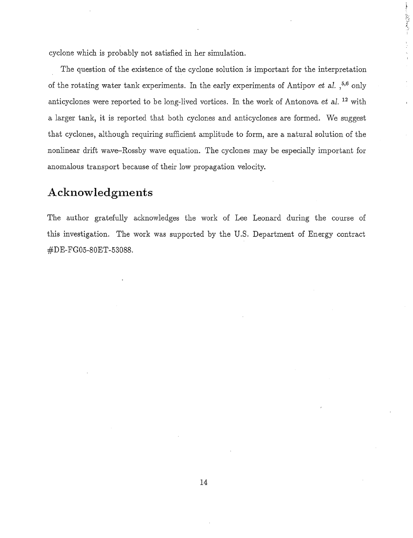cyclone which is probably not satisfied in her simulation.

The question of the existence of the cyclone solution is important for the interpretation of the rotating water tank experiments. In the early experiments of Antipov *et* al. ,5,6 only anticyclones were reported to be long-lived vortices. In the work of Antonova *et* al. 12 with a larger tank, it is reported that both cyclones and anticyclones are formed. We suggest that cyclones, although requiring sufficient amplitude to form, are a natural solution of the nonlinear drift wave-Rossby wave equation. The cyclones may be especially important for anomalous transport because of their low propagation velocity.

これをきる こうしゃ こうしゃ

#### **Acknowledgments**

The author gratefully acknowledges the work of Lee Leonard during the course of this investigation. The work was supported by the U.S. Department of Energy contract #DE-FG05-80ET -53088.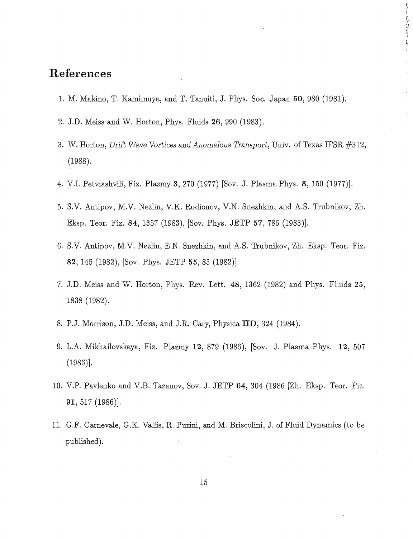### **References**

1. M. Makino, T. Kamimuya, and T. Tanuiti, J. Phys. Soc. Japan 50, 980 (1981).

 $\sum_{i=1}^{\infty}$ 

- 2. J.D. Meiss and W. Horton, Phys. Fluids 26, 990 (1983).
- 3. W. Horton, *Drift Wave Vortices and Anomalous Transport,* Univ. of Texas IFSR #312, (1988).
- 4. V.l. Petviashvili, Fiz. Plazmy 3,270 (1977) [Sov. J. Plasma Phys. 3, 150 (1977)].
- 5. S.V. Antipov, M.V. Nezlin, V.K. Rodionov, V.N. Snezhkin, and A.S. Trubnikov, Zh. Eksp. Teor. Fiz. 84, 1357 (1983), [Sov. Phys. JETP 57, 786 (1983)].
- 6. S.V. Antipov, M.V. Nezlin, E.N. Snezhkin, and A.S. Trubnikov, Zh. Eksp. Teor. Fiz. 82, 145 (1982), [Sov. Phys. JETP 55, 85 (1982)].
- 7. J.D. Meiss and W. Horton, Phys. Rev. Lett. 48, 1362 (1982) and Phys. Fluids 25, 1838 (1982).
- 8. P.J. Morrison, J.D. Meiss, and J.R. Cary, Physica IID, 324 (1984).
- 9. L.A. Mikhailovskaya, Fiz. Plazmy 12, 879 (1986), [Sov. J. Plasma Phys. 12, 507 (1986)].
- 10. V.P. Pavlenko and V.B. Tazanov, Sov. J. JETP 64, 304 (1986 [Zh. Eksp. Teor. Fiz. 91, 517 (1986)].
- 11. G.F. Carnevale, G.K. Vallis, R. Purini, and M. Briscolini, J. of Fluid Dynamics (to be published).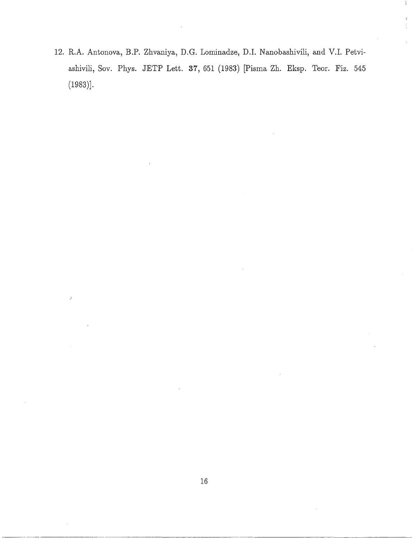12. R.A. Antonova, B.P. Zhvaniya, D.G. Lominadze, D.l. Nanobashivili, and V.l. Petviashivili, Sov. Phys. JETP Lett. 37, 651 (1983) [Pisma Zh. Eksp. Teor. Fiz. 545 (1983)].

 $\frac{1}{2}$ 

 $\zeta$ f.

 $\hat{\boldsymbol{\beta}}$ 

----------------------------~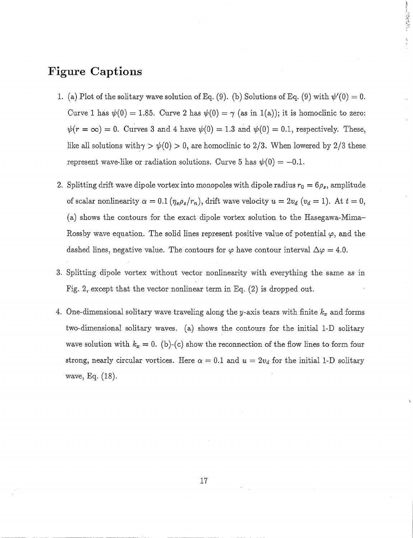## **Figure Captions**

1. (a) Plot of the solitary wave solution of Eq. (9). (b) Solutions of Eq. (9) with  $\psi'(0) = 0$ . Curve 1 has  $\psi(0) = 1.85$ . Curve 2 has  $\psi(0) = \gamma$  (as in 1(a)); it is homoclinic to zero:  $\psi(r = \infty) = 0$ . Curves 3 and 4 have  $\psi(0) = 1.3$  and  $\psi(0) = 0.1$ , respectively. These, like all solutions with $\gamma > \psi(0) > 0$ , are homoclinic to 2/3. When lowered by 2/3 these represent wave-like or radiation solutions. Curve 5 has  $\psi(0) = -0.1$ .

東北 最もない しょく

- 2. Splitting drift wave dipole vortex into monopoles with dipole radius  $r_0 = 6\rho_s$ , amplitude of scalar nonlinearity  $\alpha = 0.1$  ( $\eta_e \rho_s/r_n$ ), drift wave velocity  $u = 2v_d$  ( $v_d = 1$ ). At  $t = 0$ , (a) shows the contours for the exact dipole vortex solution to the Hasegawa-Mima-Rossby wave equation. The solid lines represent positive value of potential  $\varphi$ , and the dashed lines, negative value. The contours for  $\varphi$  have contour interval  $\Delta \varphi = 4.0$ .
- 3. Splitting dipole vortex without vector nonlinearity with everything the same as in Fig. 2, except that the vector nonlinear term in Eq.  $(2)$  is dropped out.
- 4. One-dimensional solitary wave traveling along the y-axis tears with finite  $k_x$  and forms two-dimensional solitary waves. (a) shows the contours for the initial 1-D solitary wave solution with  $k_x = 0$ . (b)-(c) show the reconnection of the flow lines to form four strong, nearly circular vortices. Here  $\alpha = 0.1$  and  $u = 2v_d$  for the initial 1-D solitary wave, Eq. (18).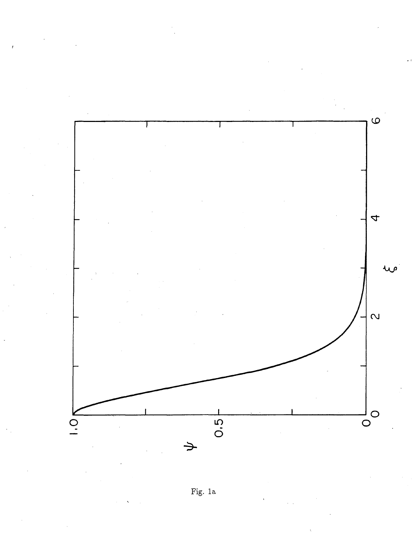

Fig. 1a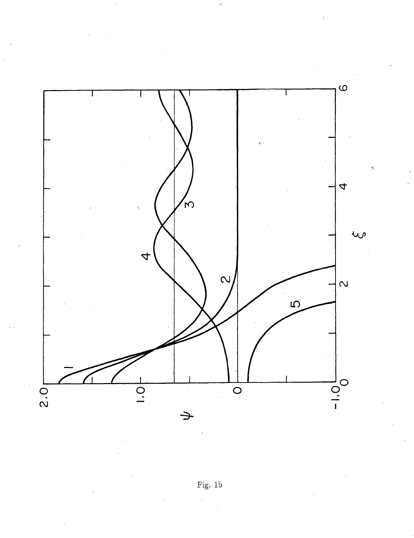

Fig.  $1\mathrm{b}$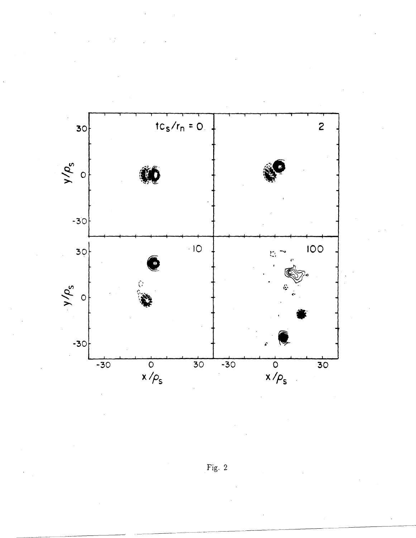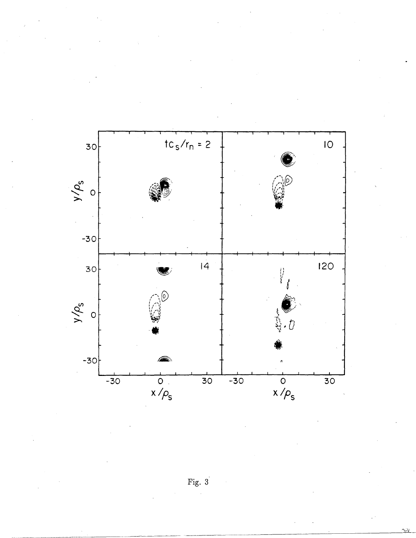

Fig.  $\dot{3}$